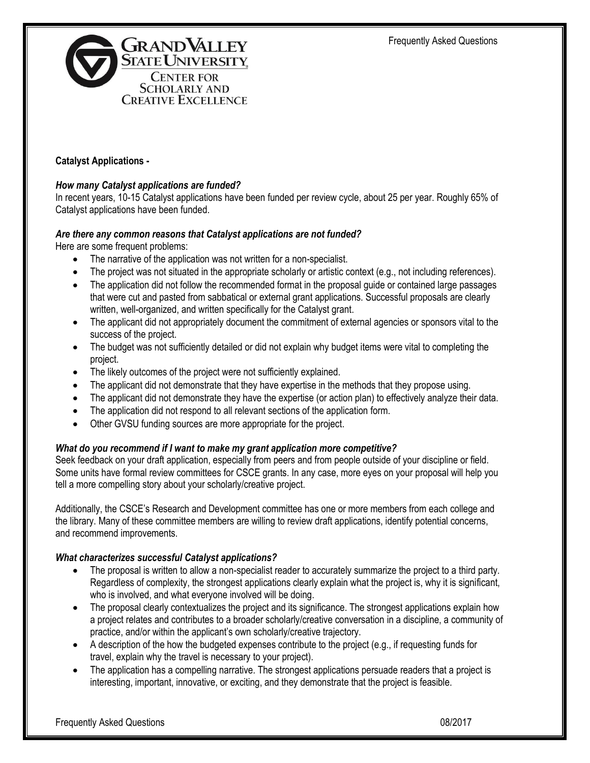

### **Catalyst Applications -**

#### *How many Catalyst applications are funded?*

In recent years, 10-15 Catalyst applications have been funded per review cycle, about 25 per year. Roughly 65% of Catalyst applications have been funded.

### *Are there any common reasons that Catalyst applications are not funded?*

Here are some frequent problems:

- The narrative of the application was not written for a non-specialist.
- The project was not situated in the appropriate scholarly or artistic context (e.g., not including references).
- The application did not follow the recommended format in the proposal quide or contained large passages that were cut and pasted from sabbatical or external grant applications. Successful proposals are clearly written, well-organized, and written specifically for the Catalyst grant.
- The applicant did not appropriately document the commitment of external agencies or sponsors vital to the success of the project.
- The budget was not sufficiently detailed or did not explain why budget items were vital to completing the project.
- The likely outcomes of the project were not sufficiently explained.
- The applicant did not demonstrate that they have expertise in the methods that they propose using.
- The applicant did not demonstrate they have the expertise (or action plan) to effectively analyze their data.
- The application did not respond to all relevant sections of the application form.
- Other GVSU funding sources are more appropriate for the project.

#### *What do you recommend if I want to make my grant application more competitive?*

Seek feedback on your draft application, especially from peers and from people outside of your discipline or field. Some units have formal review committees for CSCE grants. In any case, more eyes on your proposal will help you tell a more compelling story about your scholarly/creative project.

Additionally, the CSCE's Research and Development committee has one or more members from each college and the library. Many of these committee members are willing to review draft applications, identify potential concerns, and recommend improvements.

#### *What characterizes successful Catalyst applications?*

- The proposal is written to allow a non-specialist reader to accurately summarize the project to a third party. Regardless of complexity, the strongest applications clearly explain what the project is, why it is significant, who is involved, and what everyone involved will be doing.
- The proposal clearly contextualizes the project and its significance. The strongest applications explain how a project relates and contributes to a broader scholarly/creative conversation in a discipline, a community of practice, and/or within the applicant's own scholarly/creative trajectory.
- A description of the how the budgeted expenses contribute to the project (e.g., if requesting funds for travel, explain why the travel is necessary to your project).
- The application has a compelling narrative. The strongest applications persuade readers that a project is interesting, important, innovative, or exciting, and they demonstrate that the project is feasible.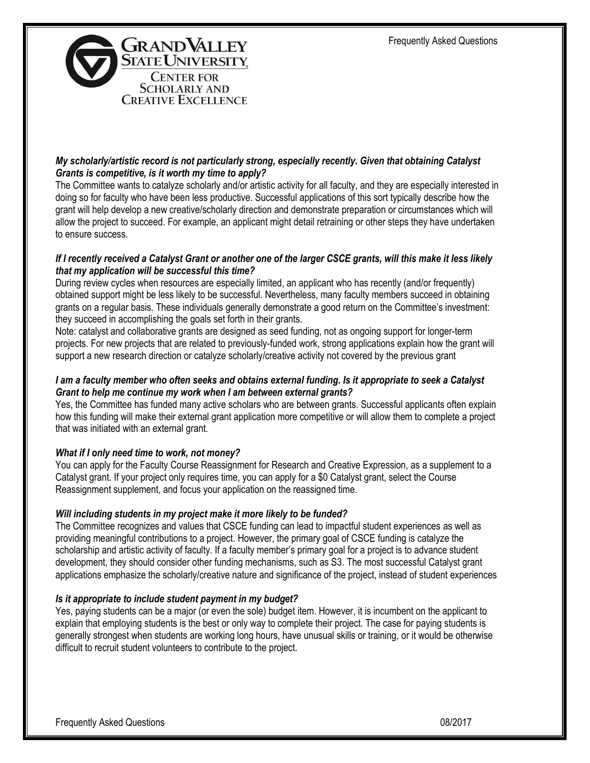

# *My scholarly/artistic record is not particularly strong, especially recently. Given that obtaining Catalyst Grants is competitive, is it worth my time to apply?*

The Committee wants to catalyze scholarly and/or artistic activity for all faculty, and they are especially interested in doing so for faculty who have been less productive. Successful applications of this sort typically describe how the grant will help develop a new creative/scholarly direction and demonstrate preparation or circumstances which will allow the project to succeed. For example, an applicant might detail retraining or other steps they have undertaken to ensure success.

### *If I recently received a Catalyst Grant or another one of the larger CSCE grants, will this make it less likely that my application will be successful this time?*

During review cycles when resources are especially limited, an applicant who has recently (and/or frequently) obtained support might be less likely to be successful. Nevertheless, many faculty members succeed in obtaining grants on a regular basis. These individuals generally demonstrate a good return on the Committee's investment: they succeed in accomplishing the goals set forth in their grants.

Note: catalyst and collaborative grants are designed as seed funding, not as ongoing support for longer-term projects. For new projects that are related to previously-funded work, strong applications explain how the grant will support a new research direction or catalyze scholarly/creative activity not covered by the previous grant

### *I am a faculty member who often seeks and obtains external funding. Is it appropriate to seek a Catalyst Grant to help me continue my work when I am between external grants?*

Yes, the Committee has funded many active scholars who are between grants. Successful applicants often explain how this funding will make their external grant application more competitive or will allow them to complete a project that was initiated with an external grant.

# *What if I only need time to work, not money?*

You can apply for the Faculty Course Reassignment for Research and Creative Expression, as a supplement to a Catalyst grant. If your project only requires time, you can apply for a \$0 Catalyst grant, select the Course Reassignment supplement, and focus your application on the reassigned time.

# *Will including students in my project make it more likely to be funded?*

The Committee recognizes and values that CSCE funding can lead to impactful student experiences as well as providing meaningful contributions to a project. However, the primary goal of CSCE funding is catalyze the scholarship and artistic activity of faculty. If a faculty member's primary goal for a project is to advance student development, they should consider other funding mechanisms, such as S3. The most successful Catalyst grant applications emphasize the scholarly/creative nature and significance of the project, instead of student experiences

#### *Is it appropriate to include student payment in my budget?*

Yes, paying students can be a major (or even the sole) budget item. However, it is incumbent on the applicant to explain that employing students is the best or only way to complete their project. The case for paying students is generally strongest when students are working long hours, have unusual skills or training, or it would be otherwise difficult to recruit student volunteers to contribute to the project.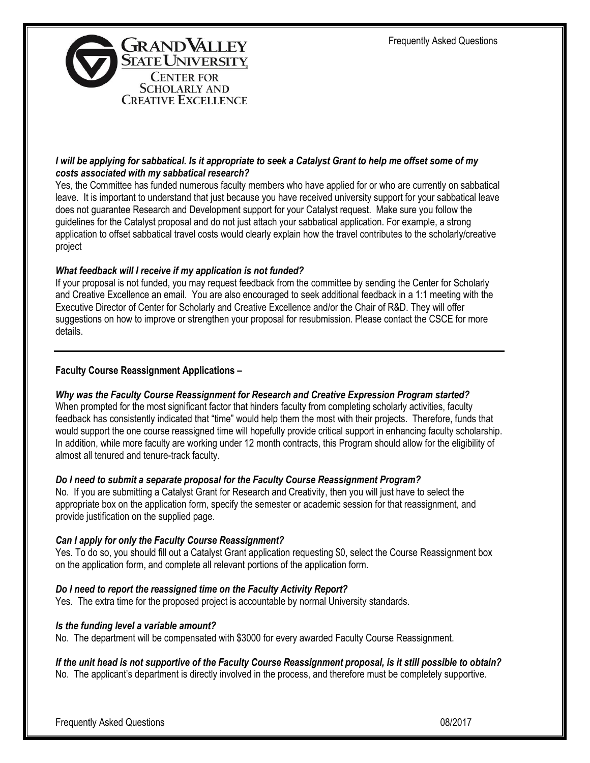

### *I will be applying for sabbatical. Is it appropriate to seek a Catalyst Grant to help me offset some of my costs associated with my sabbatical research?*

Yes, the Committee has funded numerous faculty members who have applied for or who are currently on sabbatical leave. It is important to understand that just because you have received university support for your sabbatical leave does not guarantee Research and Development support for your Catalyst request. Make sure you follow the guidelines for the Catalyst proposal and do not just attach your sabbatical application. For example, a strong application to offset sabbatical travel costs would clearly explain how the travel contributes to the scholarly/creative project

# *What feedback will I receive if my application is not funded?*

If your proposal is not funded, you may request feedback from the committee by sending the Center for Scholarly and Creative Excellence an email. You are also encouraged to seek additional feedback in a 1:1 meeting with the Executive Director of Center for Scholarly and Creative Excellence and/or the Chair of R&D. They will offer suggestions on how to improve or strengthen your proposal for resubmission. Please contact the CSCE for more details.

# **Faculty Course Reassignment Applications –**

# *Why was the Faculty Course Reassignment for Research and Creative Expression Program started?*

When prompted for the most significant factor that hinders faculty from completing scholarly activities, faculty feedback has consistently indicated that "time" would help them the most with their projects. Therefore, funds that would support the one course reassigned time will hopefully provide critical support in enhancing faculty scholarship. In addition, while more faculty are working under 12 month contracts, this Program should allow for the eligibility of almost all tenured and tenure-track faculty.

# *Do I need to submit a separate proposal for the Faculty Course Reassignment Program?*

No. If you are submitting a Catalyst Grant for Research and Creativity, then you will just have to select the appropriate box on the application form, specify the semester or academic session for that reassignment, and provide justification on the supplied page.

# *Can I apply for only the Faculty Course Reassignment?*

Yes. To do so, you should fill out a Catalyst Grant application requesting \$0, select the Course Reassignment box on the application form, and complete all relevant portions of the application form.

# *Do I need to report the reassigned time on the Faculty Activity Report?*

Yes. The extra time for the proposed project is accountable by normal University standards.

# *Is the funding level a variable amount?*

No. The department will be compensated with \$3000 for every awarded Faculty Course Reassignment.

# *If the unit head is not supportive of the Faculty Course Reassignment proposal, is it still possible to obtain?*

No. The applicant's department is directly involved in the process, and therefore must be completely supportive.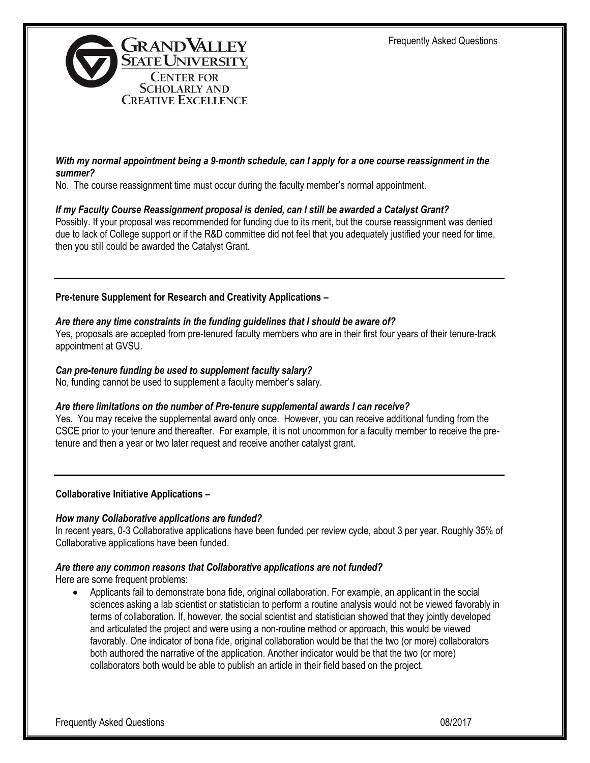

### *With my normal appointment being a 9-month schedule, can I apply for a one course reassignment in the summer?*

No. The course reassignment time must occur during the faculty member's normal appointment.

### *If my Faculty Course Reassignment proposal is denied, can I still be awarded a Catalyst Grant?*

Possibly. If your proposal was recommended for funding due to its merit, but the course reassignment was denied due to lack of College support or if the R&D committee did not feel that you adequately justified your need for time, then you still could be awarded the Catalyst Grant.

**Pre-tenure Supplement for Research and Creativity Applications –**

### *Are there any time constraints in the funding guidelines that I should be aware of?*

Yes, proposals are accepted from pre-tenured faculty members who are in their first four years of their tenure-track appointment at GVSU.

### *Can pre-tenure funding be used to supplement faculty salary?*

No, funding cannot be used to supplement a faculty member's salary.

#### *Are there limitations on the number of Pre-tenure supplemental awards I can receive?*

Yes. You may receive the supplemental award only once. However, you can receive additional funding from the CSCE prior to your tenure and thereafter. For example, it is not uncommon for a faculty member to receive the pretenure and then a year or two later request and receive another catalyst grant.

#### **Collaborative Initiative Applications –**

#### *How many Collaborative applications are funded?*

In recent years, 0-3 Collaborative applications have been funded per review cycle, about 3 per year. Roughly 35% of Collaborative applications have been funded.

#### *Are there any common reasons that Collaborative applications are not funded?*

Here are some frequent problems:

 Applicants fail to demonstrate bona fide, original collaboration. For example, an applicant in the social sciences asking a lab scientist or statistician to perform a routine analysis would not be viewed favorably in terms of collaboration. If, however, the social scientist and statistician showed that they jointly developed and articulated the project and were using a non-routine method or approach, this would be viewed favorably. One indicator of bona fide, original collaboration would be that the two (or more) collaborators both authored the narrative of the application. Another indicator would be that the two (or more) collaborators both would be able to publish an article in their field based on the project.